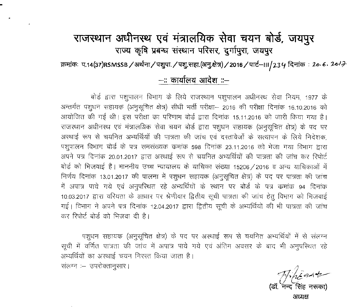## राजस्थान अधीनस्थ एवं मंत्रालयिक सेवा चयन बोर्ड, जयपुर राज्य कृषि प्रबन्ध संस्थान परिसर, दुर्गापुरा, जयपूर

क्रमांकः प.14(37)RSMSSB / अर्थना / पशुपा. / पशु.सहा.(अनु.क्षेत्र) / 2016 / पार्ट—III / 23 4 दिनांक*ः 20<sub>'</sub> 6. 20'* <del>7</del>

## **-:: Chillfclll ~ ::-**

बोर्ड द्वारा पशुपालन विभाग के लिये राजस्थान पशुपालन अधीनस्थ सेवा नियम, 1977 के अन्तर्गत पशूधन सहायक (अनुसूचित क्षेत्र) सीधी भर्ती परीक्षा– 2016 की परीक्षा दिनांक 16.10.2016 को 311योजित की गई थी। इस परीक्षा का परिणाम बोर्ड द्वारा दिनांक 15.11.2016 को जारी किया गया है। राजस्थान अधीनस्थ एवं मंत्रालग्निक सेवा चयन बोर्ड द्वारा पशधन सहायक (अनसचित क्षेत्र) के पद पर अस्थाई रूप से चयनित अभ्यर्थियों की पात्रता की जांच एवं दस्तावेजों के सत्यापन के लिये निदेशक. पशुपालन विभाग बोर्ड के पत्र समसंख्यक कमांक 598 दिनांक 23.11.2016 को भेजा गया विभाग द्वारा अपने पत्र दिनांक 20.01.2017 द्वारा अस्थाई रूप से चयनित अभ्यर्थियों की पात्रता की जांच कर रिपोर्ट बोर्ड को भिजवाई है। माननीय उच्च न्यायालय के याचिका संख्या 15206 / 2016 व अन्य याचिकाओं में निर्णय दिनांक 13.01.2017 की पालना में पशुधन सहायक (अनुसूचित क्षेत्र) के पद पर पात्रता की जांच में अपात्र पाये गये एवं अनुपरिथत रहे अभ्यर्थियों के स्थान पर बोर्ड के पत्र कमांक 94 दिनांक 10.03.2017 द्वारा वरियता के आधार पर श्रेणीवार द्वितीय सूची पात्रता की जांच हेतु विभाग को भिजवाई गई। विभाग ने अपने पत्र दिनांक 12.04.2017 द्वारा द्वितीय सूची के अभ्यर्थियों की भी पात्रता की जांच कर रिपोर्ट बोर्ड को भिजवा दी है।

पशुधन सहायक (अनुसूचित क्षेत्र) के पद पर अर्स्थाई रूप से चयनित अभ्यर्थियों में से संलग्न - सूची में वर्णित पात्रता की जांच में अपात्र पाये गये एवं अंतिम अवसर के बाद भी अनुपरिथत रहे अभ्यर्थियों का अस्थाई चयन निरस्त किया जाता है।

संलग्न :- उपरोक्तानसार।

*1f&'QAoV*

(डॉ. नन्द सिंह नर **3TtZl"e1**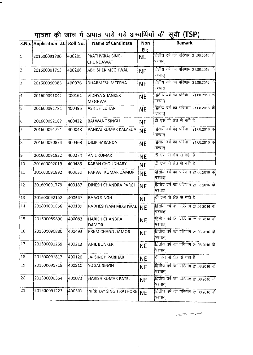पात्रता की जांच में अपात्र पाये गये अभ्यर्थियों की सूची (TSP)

.

 $\bar{\mathcal{A}}$ 

|                     | S.No. Application I.D. Roll No. |        | <b>Name of Candidate</b>              | <b>Non</b> | <b>Remark</b>                                    |  |  |
|---------------------|---------------------------------|--------|---------------------------------------|------------|--------------------------------------------------|--|--|
|                     |                                 |        |                                       | Eig.       |                                                  |  |  |
| $\vert$ 1           | 201600091790                    | 400205 | PRATHVIRAJ SINGH<br><b>CHUNDAWAT</b>  | <b>NE</b>  | द्वितीय वर्ष का परिणाम 21.08.2016 के<br>पश्चात्  |  |  |
| $\overline{2}$      | 201600091793                    | 400206 | <b>ABHISHEK MEGHWAL</b>               | <b>NE</b>  | द्वितीय वर्ष का परिणाम 21.08.2016 के<br>पश्चात   |  |  |
| 3                   | 201600090083                    | 400076 | DHARMESH MEEENA                       | <b>NE</b>  | द्वितीय वर्ष का परिणाम 21.08.2016 के<br>पश्चात   |  |  |
| $\sqrt{4}$          | 201600091842                    | 400161 | <b>VIDHYA SHANKER</b><br>MEGHWAL      | <b>NE</b>  | द्वितीय वर्ष का परिणाम 21.08.2016 के<br>पश्चात   |  |  |
| 5                   | 201600091781                    | 400495 | <b>ASHISH LUHAR</b>                   | <b>NE</b>  | द्वितीय वर्ष का परिणाम 21.08.2016 के<br>पश्चात्  |  |  |
| $\overline{6}$      | 201600092187                    | 400422 | <b>BALWANT SINGH</b>                  | <b>NE</b>  | टी एस पी क्षेत्र से नही है                       |  |  |
| $\overline{\gamma}$ | 201600091721                    | 400048 | PANKAJ KUMAR KALASUA                  | <b>NE</b>  | द्वितीय वर्ष का परिणाम 21.08.2016 के<br>पश्चात   |  |  |
| $\overline{8}$      | 201600090874                    | 400468 | <b>DILIP BARANDA</b>                  | <b>NE</b>  | द्वितीय वर्ष का परिणाम 21.08.2016 के<br>पश्चात   |  |  |
| $\overline{9}$      | 201600091822                    | 400274 | <b>ANIL KUMAR</b>                     | <b>NE</b>  | टी एस पी क्षेत्र से नही है                       |  |  |
| 10                  | 201600092019                    | 400485 | <b>KARAN CHOUDHARY</b>                | <b>NE</b>  | टी एस पी क्षेत्र से नही है                       |  |  |
| 11                  | 201600091892                    | 400030 | PARVAT KUMAR DAMOR                    | <b>NE</b>  | द्वितीय वर्ष का परिणाम 21.08.2016 के<br>पश्चात्  |  |  |
| 12                  | 201600091779                    | 400187 | DINESH CHANDRA PARGI                  | <b>NE</b>  | द्वितीय वर्ष का परिणाम 21.08.2016 के<br>पश्चात्  |  |  |
| 13                  | 201600092192                    | 400547 | <b>BHAG SINGH</b>                     | <b>NE</b>  | टी एस पी क्षेत्र से नही है                       |  |  |
| $14\,$              | 201600091856                    | 400189 | RADHESHYAM MEGHWAL                    | <b>NE</b>  | द्वितीय वर्ष का परिणाम 21.08.2016 के<br>पश्चात   |  |  |
| 15                  | 201600089890                    | 400083 | <b>HARISH CHANDRA</b><br><b>DAMOR</b> | <b>NE</b>  | द्वितीय वर्ष का परिणाम 21.08.2016 के<br>पश्चात्  |  |  |
| 16                  | 201600090880                    | 400493 | PREM CHAND DAMOR                      | <b>NE</b>  | द्वितीय वर्ष का परिणाम 21.08.2016 के<br>पश्चात्  |  |  |
| 17                  | 201600091259                    | 400213 | <b>ANIL BUNKER</b>                    | <b>NE</b>  | द्वितीय वर्ष का परिणाम 21.08.2016 के<br>पश्चात   |  |  |
| 18                  | 201600091817                    | 400120 | <b>JAI SINGH PARIHAR</b>              | <b>NE</b>  | टी एस पी क्षेत्र से नही है                       |  |  |
| 19                  | 201600091718                    | 400210 | YUGAL SINGH                           | NE.        | द्वितीय वर्ष का परिणाम 21.08.2016 के<br>पश्चात्  |  |  |
| 20                  | 201600090354                    | 400073 | HARISH KUMAR PATEL                    | <b>NE</b>  | द्वितीय वर्ष का परिणाम 21.08.2016 के<br>पश्चात   |  |  |
| 21                  | 201600091223                    | 400307 | <b>NIRBHAY SINGH RATHORE</b>          | <b>NE</b>  | द्वितीय वर्ष का परिणाम 21.08.2016 के <br>पश्चात् |  |  |

 $\leftarrow$ 

 $\sim$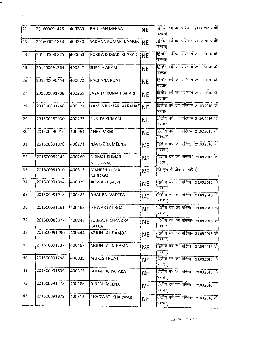| 201600091425 | 400280 | <b>BHUPESH MEENA</b>                    | <b>NE</b> | द्वितीय वर्ष का परिणाम 21.08.2016 के<br>पश्चात्              |
|--------------|--------|-----------------------------------------|-----------|--------------------------------------------------------------|
| 201600091854 | 400230 |                                         |           | द्वितीय वर्ष का परिणाम 21.08.2016 के<br>पश्चात्              |
| 201600090875 | 400063 | KOKILA KUMARI KHARADI                   |           | द्वितीय वर्ष का परिणाम 21.08.2016 के<br>पश्चात्              |
| 201600091264 | 400247 | <b>SHEELA AHARI</b>                     | <b>NE</b> | द्वितीय वर्ष का परिणाम 21.08.2016 के<br> पश्चात्             |
| 201600090454 | 400072 | RACHANA ROAT                            | <b>NE</b> | द्वितीय वर्ष का परिणाम 21.08.2016 के<br>पश्चात               |
| 201600091708 | 400265 | JAYANTI KUMARI AHARI                    | <b>NE</b> | द्वितीय वर्ष का परिणाम 21.08.2016 के<br>पश्चात्              |
| 201600091168 | 400171 |                                         | <b>NE</b> | द्वितीय वर्ष का परिणाम 21.08.2016 के<br> पश्चात्             |
| 201600087930 | 400263 | <b>SUNITA KUMARI</b>                    | <b>NE</b> | द्वितीय वर्ष का परिणाम 21.08.2016 के<br>पश्चात्              |
| 201600090916 | 400061 | <b>JINEE PARGI</b>                      | <b>NE</b> | द्वितीय वर्ष का परिणाम 21.08.2016 के<br>पश्चात्              |
| 201600091878 | 400271 | NAVINDRA MEENA                          | <b>NE</b> | द्रितीय वर्ष का परिणाम 21.08.2016 के<br>पश्चात्              |
| 201600092142 | 400260 | <b>NIRMAL KUMAR</b><br><b>MEGHWAL</b>   | <b>NE</b> | द्वितीय वर्ष का परिणाम 21.08.2016 के<br>पश्चात               |
| 201600091910 | 400313 | <b>MAHESH KUMAR</b><br><b>BAIRAWA</b>   | <b>NE</b> | टी एस पी क्षेत्र से नही है                                   |
| 201600091894 | 400029 | <b>JASWANT SALVI</b>                    | <b>NE</b> | द्वितीय वर्ष का परिणाम 21.08.2016 के<br>पश्चात्              |
| 201600091918 | 400462 | <b>DHANRAJ VADERA</b>                   | <b>NE</b> | द्वितीय वर्ष का परिणाम 21.08.2016 के<br>पश्चात्              |
| 201600091161 | 400168 | <b>ISHWAR LAL ROAT</b>                  | <b>NE</b> | द्वितीय वर्ष का परिणाम 21.08.2016 के<br>पश्चात्              |
| 201600089377 | 400243 | <b>SUBHASH CHANDRA</b><br><b>KATIJA</b> | <b>NE</b> | द्वितीय वर्ष का परिणाम 21.08.2016 के<br>पश्चात्              |
| 201600091490 | 400444 | <b>ARJUN LAL DAMOR</b>                  | <b>NE</b> | द्वितीय वर्ष का परिणाम 21.08.2016 के<br>पश्चात्              |
| 201600091737 | 400467 | ARJUN LAL NINAMA                        | <b>NE</b> | द्वितीय वर्ष का परिणाम 21.08.2016 के<br>पश्चात्              |
| 201600091798 | 400039 | MUKESH ROAT                             | <b>NE</b> | द्वितीय वर्ष का परिणाम 21.08.2016 के<br>पश्चात्              |
| 201600091839 | 400303 | <b>BHEM RAJ KATARA</b>                  | <b>NE</b> | द्वितीय वर्ष का परिणाम 21.08.2016 के<br>पश्चात्              |
| 201600091273 | 400166 | DINESH MEENA                            | <b>NE</b> | द्वितीय वर्ष का परिणाम 21.08.2016 के<br>पश्चात्              |
| 201600091978 | 400312 | <b>BHAGWATI KHARWAR</b>                 | <b>NE</b> | द्वितीय वर्ष का परिणाम 21.08.2016 के<br>पश्चात्              |
|              |        |                                         |           | SADHNA KUMARI DAMOR NE<br><b>INE</b><br>KAMLA KUMARI VARAHAT |

.

 $\mathcal{L}_{\text{max}}$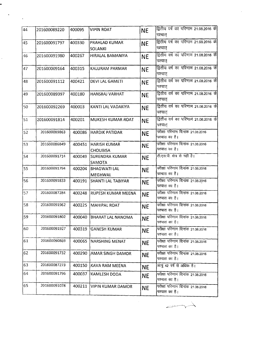| 44 | 201600089220 | 400095 | <b>VIPIN ROAT</b>                      | <b>NE</b> | द्वितीय वर्ष का परिणाम 21.08.2016 के<br>पश्चात्         |
|----|--------------|--------|----------------------------------------|-----------|---------------------------------------------------------|
| 45 | 201600091797 | 400330 | PRAHLAD KUMAR<br><b>SOLANKI</b>        | <b>NE</b> | द्वितीय वर्ष का परिणाम 21.08.2016 के<br>पश्चात्         |
| 46 | 201600091980 | 400267 | HIRALAL BAMANIYA                       | <b>NE</b> | द्वितीय वर्ष का परिणाम 21.08.2016 के<br>पश्चात्         |
| 47 | 201600009164 | 400315 | <b>KALURAM PARMAR</b>                  | <b>NE</b> | द्वितीय वर्ष का परिणाम 21.08.2016 के<br>पश्चात्         |
| 48 | 201600091112 | 400421 | <b>DEVI LAL GAMETI</b>                 | <b>NE</b> | <u>द्वितीय वर्ष का परिणाम 21.08.2016 के </u><br>पश्चात् |
| 49 | 201600089397 | 400180 | HANSRAJ VARHAT                         | <b>NE</b> | द्वितीय वर्ष का परिणाम 21.08.2016 के<br>पश्चात्         |
| 50 | 201600092269 | 400003 | KANTI LAL VADAKIYA                     | <b>NE</b> | द्वितीय वर्ष का परिणाम 21.08.2016 के<br>पश्चात्         |
| 51 | 201600091814 | 400201 | MUKESH KUMAR ROAT                      | <b>NE</b> | द्वितीय वर्ष का परिणाम 21.08.2016 के<br>पश्चात्         |
| 52 | 201600089863 | 400086 | <b>HARDIK PATIDAR</b>                  | <b>NE</b> | परीक्षा परिणाम दिनांक 21.08.2016<br>पश्चात का है।       |
| 53 | 201600086849 | 400451 | <b>HARISH KUMAR</b><br><b>CHOUBISA</b> | <b>NE</b> | परीक्षा परिणाम दिनांक 21.08.2016<br>पश्चात का है।       |
| 54 | 201600091714 | 400049 | <b>SURENDRA KUMAR</b><br>SAMOTA        | <b>NE</b> | टी.एस.पी. क्षेत्र से नहीं है।                           |
| 55 | 201600091794 | 400204 | <b>BHAGWATI LAL</b><br><b>MEGHWAL</b>  | <b>NE</b> | परीक्षा परिणाम दिनांक 21.08.2016<br>पश्चात का है।       |
| 56 | 201600091833 | 400191 | <b>SHANTI LAL TABIYAR</b>              | <b>NE</b> | परीक्षा परिणाम दिनांक 21.08.2016<br>पश्चात का है।       |
| 57 | 201600087284 | 400248 | RUPESH KUMAR MEENA                     | <b>NE</b> | परीक्षा परिणाम दिनांक 21.08.2016<br>पश्चात का है।       |
| 58 | 201600091962 | 400225 | <b>MAHIPAL ROAT</b>                    | <b>NE</b> | परीक्षा परिणाम दिनांक 21.08.2016<br>पश्चात का है।       |
| 59 | 201600091802 | 400040 | <b>BHARAT LAL NANOMA</b>               | <b>NE</b> | परीक्षा परिणाम दिनांक 21.08.2016<br>पश्चात का है।       |
| 60 | 201600091927 | 400319 | <b>GANESH KUMAR</b>                    | <b>NE</b> | परीक्षा परिणाम दिनांक 21.08.2016<br>पश्चात का है।       |
| 61 | 201600090869 | 400065 | NARSHING MENAT                         | <b>NE</b> | परीक्षा परिणाम दिनांक 21.08.2016<br>पश्चात का है।       |
| 62 | 201600091732 | 400290 | <b>AMAR SINGH DAMOR</b>                | <b>NE</b> | परीक्षा परिणाम दिनांक 21.08.2016<br>पश्चात का है।       |
| 63 | 201600087273 | 400150 | KAVA RAM MEENA                         | <b>NE</b> | आयु 42 वर्ष से अधिक है।                                 |
| 64 | 201600091796 | 400037 | KAMLESH DODA                           | NE.       | परीक्षा परिणाम दिनांक 21.08.2016<br>पश्चात का है।       |
| 65 | 201600091078 | 400211 | <b>VIPIN KUMAR DAMOR</b>               | <b>NE</b> | परीक्षा परिणाम दिनांक 21.08.2016<br>पश्चात का है।       |

 $\mathcal{L}^{\text{max}}$ 

 $\ddot{\phantom{0}}$ 

 $\hat{\mathcal{L}}$ 

 $\label{eq:2} \begin{split} \mathcal{L}_{\text{max}}(\mathbf{x}) = \mathcal{L}_{\text{max}}(\mathbf{x}) \end{split}$ 

 $\rightarrow$ 

 $\frac{1}{2} \frac{1}{2} \frac{1}{2} \frac{1}{2}$